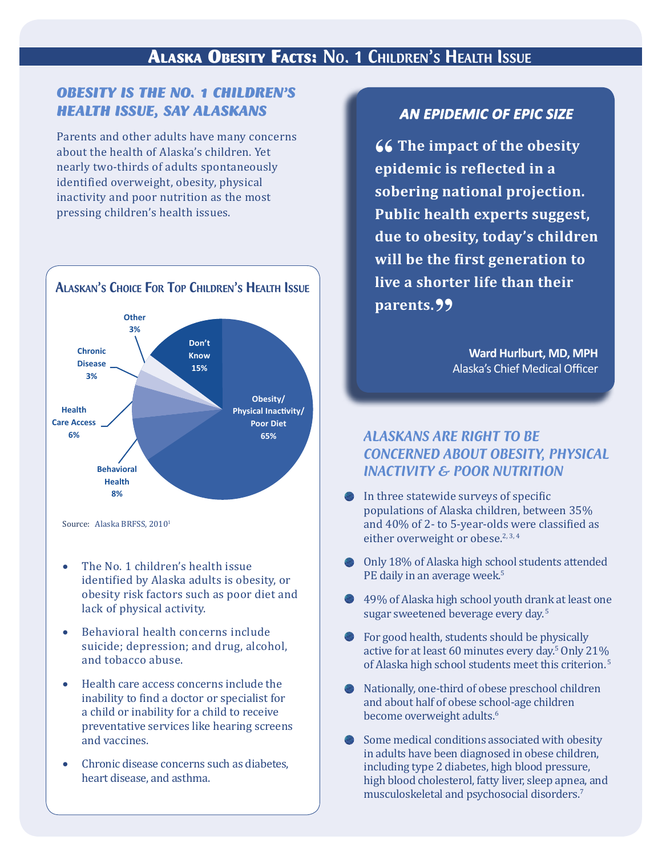## Alaska Obesity Facts: No. 1 Children's Health Issue

### *Obesity is the NO. 1 ChildreN's health issue, say alaskaNs*

Parents and other adults have many concerns about the health of Alaska's children. Yet nearly two-thirds of adults spontaneously identified overweight, obesity, physical inactivity and poor nutrition as the most pressing children's health issues.



ALASKAN'S CHOICE FOR TOP CHILDREN'S HEALTH ISSUE

Source: Alaska BRFSS,  $2010<sup>T</sup>$ 

- The No. 1 children's health issue identified by Alaska adults is obesity, or obesity risk factors such as poor diet and lack of physical activity.
- Behavioral health concerns include suicide; depression; and drug, alcohol, and tobacco abuse.
- Health care access concerns include the inability to find a doctor or specialist for a child or inability for a child to receive preventative services like hearing screens and vaccines.
- Chronic disease concerns such as diabetes. heart disease, and asthma.

### *AN EPIDEMIC OF EPIC SIZE*

**66 The impact of the obesity epidemic is reflected in a sobering national projection. Public health experts suggest, due to obesity, today's children will be the first generation to live a shorter life than their**  parents.<sup>99</sup>

> **Ward Hurlburt, MD, MPH** Alaska's Chief Medical Officer

### *AlAskAns Are right to Be ConCerned ABout oBesity, PhysiCAl inACtivity & Poor nutrition*

- In three statewide surveys of specific populations of Alaska children, between 35% and 40% of 2- to 5-year-olds were classified as either overweight or obese. $2,3,4$
- O nly 18 % of Ala s k a high scho ol students attended PE daily in an average week.<sup>5</sup>
- 49% of Alask a high school y outh dr ank at least one sugar sweetened beverage every day.<sup>5</sup>
- active for at least 60 minutes every day. $^{\circ}$  Only 21% For good health, students should be physically of Alaska high school students meet this criterion.<sup>5</sup>
- Nationally, one-third of obese preschool children and about half of obese school-age children 6 become o verweight adults.
- Some medical conditions associat ed with obesity including type 2 diabet es, hig h blood pr essur e, in adults have been diag nosed in o bese c hildr en, hig h blood cholesterol, fatty li ver, sleep apnea, and musculoskeletal and psychosocial disor ders.7